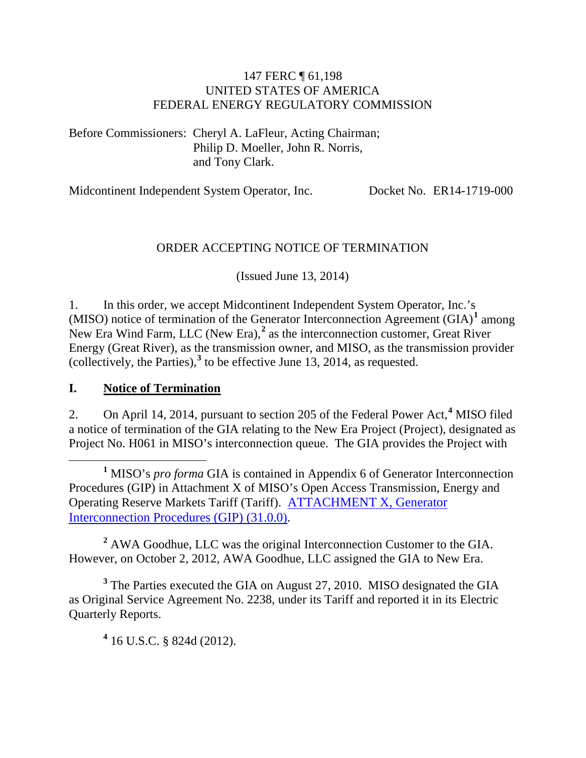### 147 FERC ¶ 61,198 UNITED STATES OF AMERICA FEDERAL ENERGY REGULATORY COMMISSION

Before Commissioners: Cheryl A. LaFleur, Acting Chairman; Philip D. Moeller, John R. Norris, and Tony Clark.

Midcontinent Independent System Operator, Inc. Docket No. ER14-1719-000

### ORDER ACCEPTING NOTICE OF TERMINATION

(Issued June 13, 2014)

1. In this order, we accept Midcontinent Independent System Operator, Inc.'s (MISO) notice of termination of the Generator Interconnection Agreement (GIA)**[1](#page-0-0)** among New Era Wind Farm, LLC (New Era),<sup>[2](#page-0-1)</sup> as the interconnection customer, Great River Energy (Great River), as the transmission owner, and MISO, as the transmission provider (collectively, the Parties),**[3](#page-0-2)** to be effective June 13, 2014, as requested.

### **I. Notice of Termination**

2. On April 14, 2014, pursuant to section 205 of the Federal Power Act,**[4](#page-0-3)** MISO filed a notice of termination of the GIA relating to the New Era Project (Project), designated as Project No. H061 in MISO's interconnection queue. The GIA provides the Project with

<span id="page-0-1"></span>**<sup>2</sup>** AWA Goodhue, LLC was the original Interconnection Customer to the GIA. However, on October 2, 2012, AWA Goodhue, LLC assigned the GIA to New Era.

<span id="page-0-3"></span><span id="page-0-2"></span>**<sup>3</sup>** The Parties executed the GIA on August 27, 2010. MISO designated the GIA as Original Service Agreement No. 2238, under its Tariff and reported it in its Electric Quarterly Reports.

**<sup>4</sup>** 16 U.S.C. § 824d (2012).

<span id="page-0-0"></span>**<sup>1</sup>** MISO's *pro forma* GIA is contained in Appendix 6 of Generator Interconnection Procedures (GIP) in Attachment X of MISO's Open Access Transmission, Energy and Operating Reserve Markets Tariff (Tariff). [ATTACHMENT X, Generator](http://etariff.ferc.gov/TariffSectionDetails.aspx?tid=1162&sid=157456)  [Interconnection Procedures \(GIP\)](http://etariff.ferc.gov/TariffSectionDetails.aspx?tid=1162&sid=157456) (31.0.0).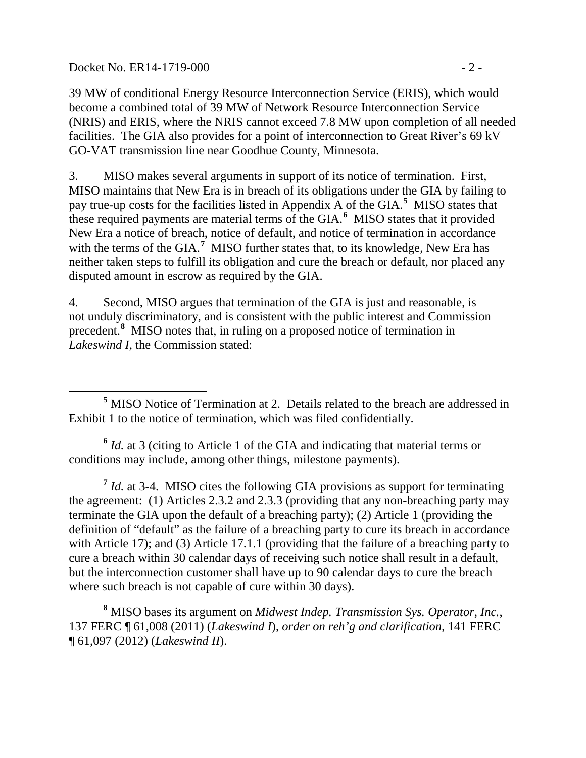Docket No. ER14-1719-000 - 2 -

39 MW of conditional Energy Resource Interconnection Service (ERIS), which would become a combined total of 39 MW of Network Resource Interconnection Service (NRIS) and ERIS, where the NRIS cannot exceed 7.8 MW upon completion of all needed facilities. The GIA also provides for a point of interconnection to Great River's 69 kV GO-VAT transmission line near Goodhue County, Minnesota.

3. MISO makes several arguments in support of its notice of termination. First, MISO maintains that New Era is in breach of its obligations under the GIA by failing to pay true-up costs for the facilities listed in Appendix A of the GIA.**[5](#page-1-0)** MISO states that these required payments are material terms of the GIA. **[6](#page-1-1)** MISO states that it provided New Era a notice of breach, notice of default, and notice of termination in accordance with the terms of the GIA.<sup>[7](#page-1-2)</sup> MISO further states that, to its knowledge, New Era has neither taken steps to fulfill its obligation and cure the breach or default, nor placed any disputed amount in escrow as required by the GIA.

4. Second, MISO argues that termination of the GIA is just and reasonable, is not unduly discriminatory, and is consistent with the public interest and Commission precedent.**[8](#page-1-3)** MISO notes that, in ruling on a proposed notice of termination in *Lakeswind I*, the Commission stated:

<span id="page-1-0"></span> **<sup>5</sup>** MISO Notice of Termination at 2. Details related to the breach are addressed in Exhibit 1 to the notice of termination, which was filed confidentially.

<span id="page-1-1"></span>**<sup>6</sup>** *Id.* at 3 (citing to Article 1 of the GIA and indicating that material terms or conditions may include, among other things, milestone payments).

<span id="page-1-2"></span>**<sup>7</sup>** *Id.* at 3-4. MISO cites the following GIA provisions as support for terminating the agreement: (1) Articles 2.3.2 and 2.3.3 (providing that any non-breaching party may terminate the GIA upon the default of a breaching party); (2) Article 1 (providing the definition of "default" as the failure of a breaching party to cure its breach in accordance with Article 17); and (3) Article 17.1.1 (providing that the failure of a breaching party to cure a breach within 30 calendar days of receiving such notice shall result in a default, but the interconnection customer shall have up to 90 calendar days to cure the breach where such breach is not capable of cure within 30 days).

<span id="page-1-3"></span>**<sup>8</sup>** MISO bases its argument on *Midwest Indep. Transmission Sys. Operator, Inc.*, 137 FERC ¶ 61,008 (2011) (*Lakeswind I*), *order on reh'g and clarification*, 141 FERC ¶ 61,097 (2012) (*Lakeswind II*).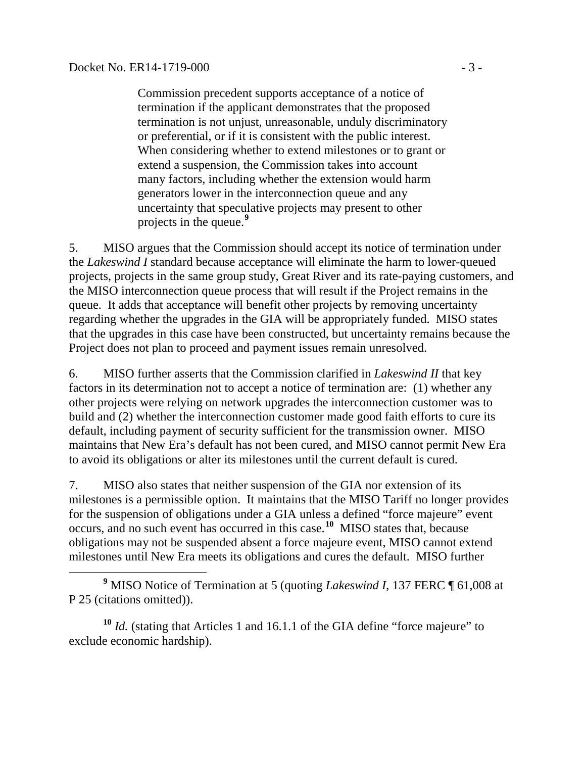Commission precedent supports acceptance of a notice of termination if the applicant demonstrates that the proposed termination is not unjust, unreasonable, unduly discriminatory or preferential, or if it is consistent with the public interest. When considering whether to extend milestones or to grant or extend a suspension, the Commission takes into account many factors, including whether the extension would harm generators lower in the interconnection queue and any uncertainty that speculative projects may present to other projects in the queue.**[9](#page-2-0)**

5. MISO argues that the Commission should accept its notice of termination under the *Lakeswind I* standard because acceptance will eliminate the harm to lower-queued projects, projects in the same group study, Great River and its rate-paying customers, and the MISO interconnection queue process that will result if the Project remains in the queue. It adds that acceptance will benefit other projects by removing uncertainty regarding whether the upgrades in the GIA will be appropriately funded. MISO states that the upgrades in this case have been constructed, but uncertainty remains because the Project does not plan to proceed and payment issues remain unresolved.

6. MISO further asserts that the Commission clarified in *Lakeswind II* that key factors in its determination not to accept a notice of termination are: (1) whether any other projects were relying on network upgrades the interconnection customer was to build and (2) whether the interconnection customer made good faith efforts to cure its default, including payment of security sufficient for the transmission owner. MISO maintains that New Era's default has not been cured, and MISO cannot permit New Era to avoid its obligations or alter its milestones until the current default is cured.

7. MISO also states that neither suspension of the GIA nor extension of its milestones is a permissible option. It maintains that the MISO Tariff no longer provides for the suspension of obligations under a GIA unless a defined "force majeure" event occurs, and no such event has occurred in this case.**[10](#page-2-1)** MISO states that, because obligations may not be suspended absent a force majeure event, MISO cannot extend milestones until New Era meets its obligations and cures the default. MISO further

<span id="page-2-0"></span> **<sup>9</sup>** MISO Notice of Termination at 5 (quoting *Lakeswind I*, 137 FERC ¶ 61,008 at P 25 (citations omitted)).

<span id="page-2-1"></span>**<sup>10</sup>** *Id.* (stating that Articles 1 and 16.1.1 of the GIA define "force majeure" to exclude economic hardship).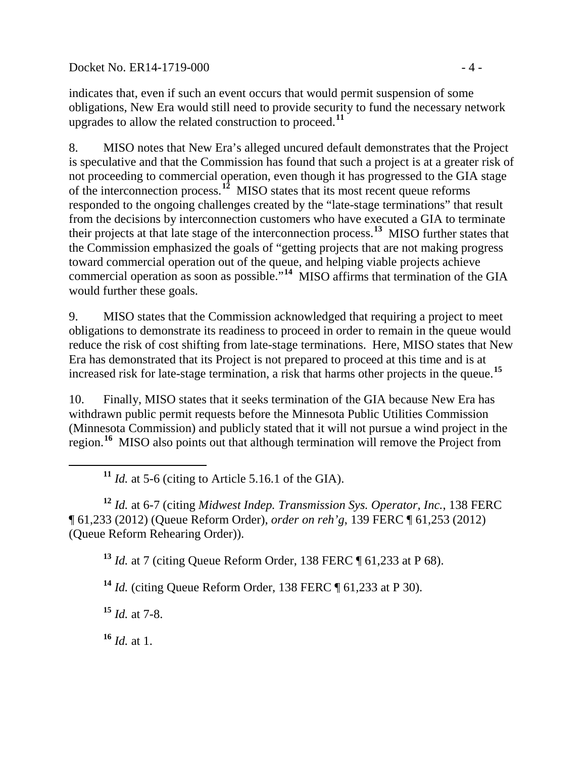Docket No. ER14-1719-000 - 4 -

indicates that, even if such an event occurs that would permit suspension of some obligations, New Era would still need to provide security to fund the necessary network upgrades to allow the related construction to proceed.**[11](#page-3-0)**

8. MISO notes that New Era's alleged uncured default demonstrates that the Project is speculative and that the Commission has found that such a project is at a greater risk of not proceeding to commercial operation, even though it has progressed to the GIA stage of the interconnection process. **[12](#page-3-1)** MISO states that its most recent queue reforms responded to the ongoing challenges created by the "late-stage terminations" that result from the decisions by interconnection customers who have executed a GIA to terminate their projects at that late stage of the interconnection process.**[13](#page-3-2)** MISO further states that the Commission emphasized the goals of "getting projects that are not making progress toward commercial operation out of the queue, and helping viable projects achieve commercial operation as soon as possible."**[14](#page-3-3)** MISO affirms that termination of the GIA would further these goals.

9. MISO states that the Commission acknowledged that requiring a project to meet obligations to demonstrate its readiness to proceed in order to remain in the queue would reduce the risk of cost shifting from late-stage terminations. Here, MISO states that New Era has demonstrated that its Project is not prepared to proceed at this time and is at increased risk for late-stage termination, a risk that harms other projects in the queue.**[15](#page-3-4)**

10. Finally, MISO states that it seeks termination of the GIA because New Era has withdrawn public permit requests before the Minnesota Public Utilities Commission (Minnesota Commission) and publicly stated that it will not pursue a wind project in the region. **[16](#page-3-5)** MISO also points out that although termination will remove the Project from

<sup>11</sup> *Id.* at 5-6 (citing to Article 5.16.1 of the GIA).

<span id="page-3-2"></span><span id="page-3-1"></span><span id="page-3-0"></span>**<sup>12</sup>** *Id.* at 6-7 (citing *Midwest Indep. Transmission Sys. Operator, Inc.*, 138 FERC ¶ 61,233 (2012) (Queue Reform Order), *order on reh'g*, 139 FERC ¶ 61,253 (2012) (Queue Reform Rehearing Order)).

**<sup>13</sup>** *Id.* at 7 (citing Queue Reform Order, 138 FERC ¶ 61,233 at P 68).

<span id="page-3-3"></span>**<sup>14</sup>** *Id.* (citing Queue Reform Order, 138 FERC ¶ 61,233 at P 30).

<span id="page-3-4"></span>**<sup>15</sup>** *Id.* at 7-8.

<span id="page-3-5"></span>**<sup>16</sup>** *Id.* at 1.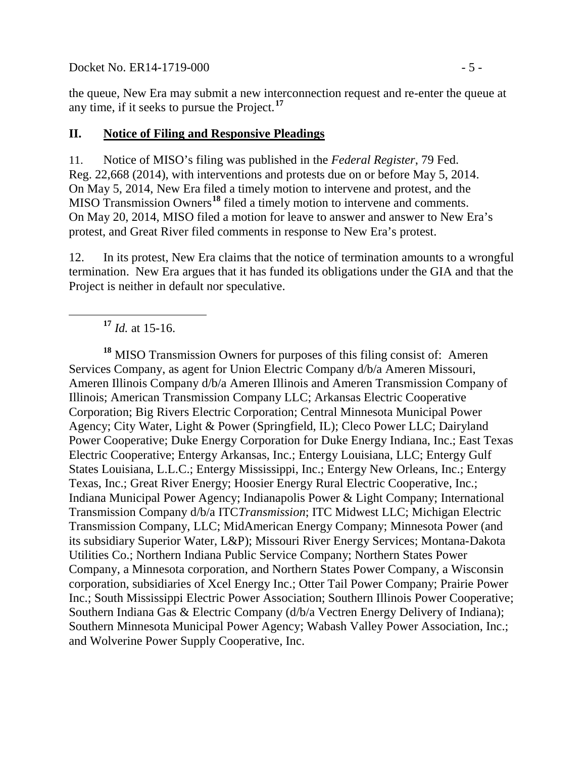Docket No. ER14-1719-000 - 5 -

the queue, New Era may submit a new interconnection request and re-enter the queue at any time, if it seeks to pursue the Project.**[17](#page-4-0)**

### **II. Notice of Filing and Responsive Pleadings**

11. Notice of MISO's filing was published in the *Federal Register*, 79 Fed. Reg. 22,668 (2014), with interventions and protests due on or before May 5, 2014. On May 5, 2014, New Era filed a timely motion to intervene and protest, and the MISO Transmission Owners**[18](#page-4-1)** filed a timely motion to intervene and comments. On May 20, 2014, MISO filed a motion for leave to answer and answer to New Era's protest, and Great River filed comments in response to New Era's protest.

12. In its protest, New Era claims that the notice of termination amounts to a wrongful termination. New Era argues that it has funded its obligations under the GIA and that the Project is neither in default nor speculative.

**<sup>17</sup>** *Id.* at 15-16.

<span id="page-4-1"></span><span id="page-4-0"></span>**<sup>18</sup>** MISO Transmission Owners for purposes of this filing consist of: Ameren Services Company, as agent for Union Electric Company d/b/a Ameren Missouri, Ameren Illinois Company d/b/a Ameren Illinois and Ameren Transmission Company of Illinois; American Transmission Company LLC; Arkansas Electric Cooperative Corporation; Big Rivers Electric Corporation; Central Minnesota Municipal Power Agency; City Water, Light & Power (Springfield, IL); Cleco Power LLC; Dairyland Power Cooperative; Duke Energy Corporation for Duke Energy Indiana, Inc.; East Texas Electric Cooperative; Entergy Arkansas, Inc.; Entergy Louisiana, LLC; Entergy Gulf States Louisiana, L.L.C.; Entergy Mississippi, Inc.; Entergy New Orleans, Inc.; Entergy Texas, Inc.; Great River Energy; Hoosier Energy Rural Electric Cooperative, Inc.; Indiana Municipal Power Agency; Indianapolis Power & Light Company; International Transmission Company d/b/a ITC*Transmission*; ITC Midwest LLC; Michigan Electric Transmission Company, LLC; MidAmerican Energy Company; Minnesota Power (and its subsidiary Superior Water, L&P); Missouri River Energy Services; Montana-Dakota Utilities Co.; Northern Indiana Public Service Company; Northern States Power Company, a Minnesota corporation, and Northern States Power Company, a Wisconsin corporation, subsidiaries of Xcel Energy Inc.; Otter Tail Power Company; Prairie Power Inc.; South Mississippi Electric Power Association; Southern Illinois Power Cooperative; Southern Indiana Gas & Electric Company (d/b/a Vectren Energy Delivery of Indiana); Southern Minnesota Municipal Power Agency; Wabash Valley Power Association, Inc.; and Wolverine Power Supply Cooperative, Inc.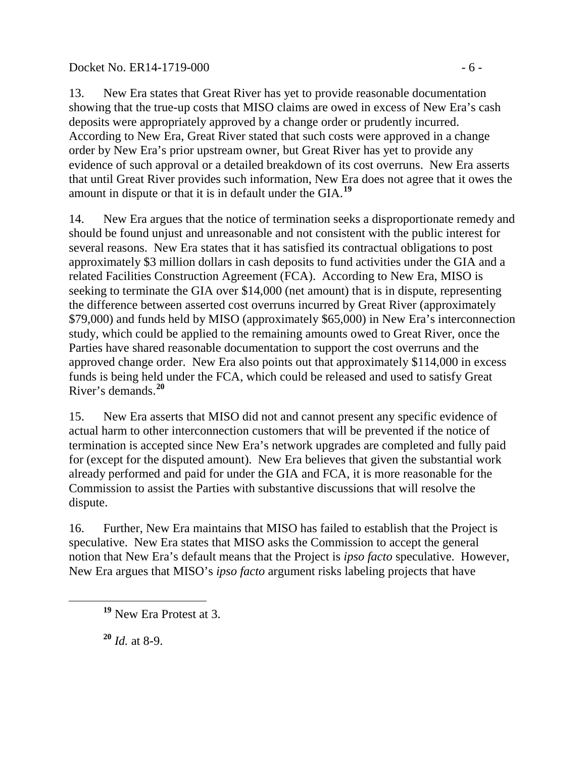### Docket No. ER14-1719-000 - 6 -

13. New Era states that Great River has yet to provide reasonable documentation showing that the true-up costs that MISO claims are owed in excess of New Era's cash deposits were appropriately approved by a change order or prudently incurred. According to New Era, Great River stated that such costs were approved in a change order by New Era's prior upstream owner, but Great River has yet to provide any evidence of such approval or a detailed breakdown of its cost overruns. New Era asserts that until Great River provides such information, New Era does not agree that it owes the amount in dispute or that it is in default under the GIA.**[19](#page-5-0)**

14. New Era argues that the notice of termination seeks a disproportionate remedy and should be found unjust and unreasonable and not consistent with the public interest for several reasons. New Era states that it has satisfied its contractual obligations to post approximately \$3 million dollars in cash deposits to fund activities under the GIA and a related Facilities Construction Agreement (FCA). According to New Era, MISO is seeking to terminate the GIA over \$14,000 (net amount) that is in dispute, representing the difference between asserted cost overruns incurred by Great River (approximately \$79,000) and funds held by MISO (approximately \$65,000) in New Era's interconnection study, which could be applied to the remaining amounts owed to Great River, once the Parties have shared reasonable documentation to support the cost overruns and the approved change order. New Era also points out that approximately \$114,000 in excess funds is being held under the FCA, which could be released and used to satisfy Great River's demands. **[20](#page-5-1)**

15. New Era asserts that MISO did not and cannot present any specific evidence of actual harm to other interconnection customers that will be prevented if the notice of termination is accepted since New Era's network upgrades are completed and fully paid for (except for the disputed amount). New Era believes that given the substantial work already performed and paid for under the GIA and FCA, it is more reasonable for the Commission to assist the Parties with substantive discussions that will resolve the dispute.

16. Further, New Era maintains that MISO has failed to establish that the Project is speculative. New Era states that MISO asks the Commission to accept the general notion that New Era's default means that the Project is *ipso facto* speculative. However, New Era argues that MISO's *ipso facto* argument risks labeling projects that have

<span id="page-5-1"></span>**<sup>20</sup>** *Id.* at 8-9.

<span id="page-5-0"></span>**<sup>19</sup>** New Era Protest at 3.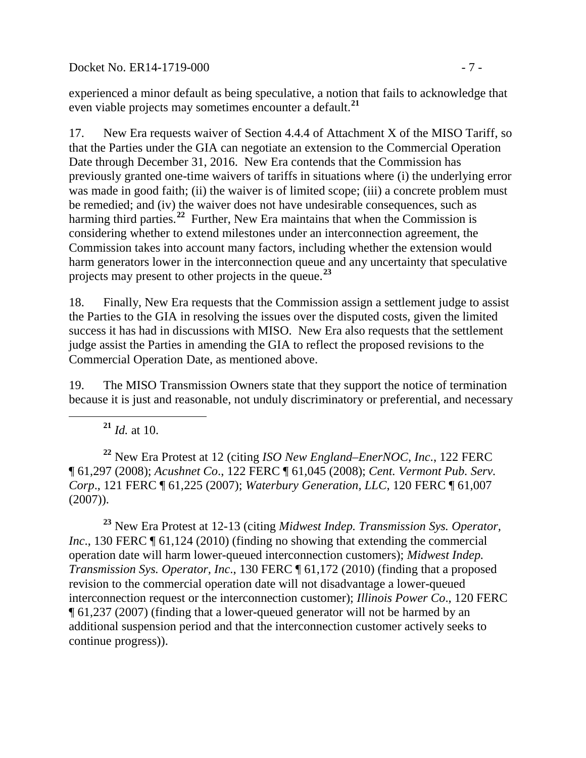Docket No. ER14-1719-000 - 7 -

experienced a minor default as being speculative, a notion that fails to acknowledge that even viable projects may sometimes encounter a default.**[21](#page-6-0)**

17. New Era requests waiver of Section 4.4.4 of Attachment X of the MISO Tariff, so that the Parties under the GIA can negotiate an extension to the Commercial Operation Date through December 31, 2016. New Era contends that the Commission has previously granted one-time waivers of tariffs in situations where (i) the underlying error was made in good faith; (ii) the waiver is of limited scope; (iii) a concrete problem must be remedied; and (iv) the waiver does not have undesirable consequences, such as harming third parties.<sup>[22](#page-6-1)</sup> Further, New Era maintains that when the Commission is considering whether to extend milestones under an interconnection agreement, the Commission takes into account many factors, including whether the extension would harm generators lower in the interconnection queue and any uncertainty that speculative projects may present to other projects in the queue.**[23](#page-6-2)**

18. Finally, New Era requests that the Commission assign a settlement judge to assist the Parties to the GIA in resolving the issues over the disputed costs, given the limited success it has had in discussions with MISO. New Era also requests that the settlement judge assist the Parties in amending the GIA to reflect the proposed revisions to the Commercial Operation Date, as mentioned above.

19. The MISO Transmission Owners state that they support the notice of termination because it is just and reasonable, not unduly discriminatory or preferential, and necessary

**<sup>21</sup>** *Id.* at 10.

<span id="page-6-1"></span><span id="page-6-0"></span>**<sup>22</sup>** New Era Protest at 12 (citing *ISO New England–EnerNOC, Inc*., 122 FERC ¶ 61,297 (2008); *Acushnet Co*., 122 FERC ¶ 61,045 (2008); *Cent. Vermont Pub. Serv. Corp*., 121 FERC ¶ 61,225 (2007); *Waterbury Generation, LLC*, 120 FERC ¶ 61,007 (2007)).

<span id="page-6-2"></span>**<sup>23</sup>** New Era Protest at 12-13 (citing *Midwest Indep. Transmission Sys. Operator, Inc.*, 130 FERC  $\P$  61,124 (2010) (finding no showing that extending the commercial operation date will harm lower-queued interconnection customers); *Midwest Indep. Transmission Sys. Operator, Inc*., 130 FERC ¶ 61,172 (2010) (finding that a proposed revision to the commercial operation date will not disadvantage a lower-queued interconnection request or the interconnection customer); *Illinois Power Co*., 120 FERC ¶ 61,237 (2007) (finding that a lower-queued generator will not be harmed by an additional suspension period and that the interconnection customer actively seeks to continue progress)).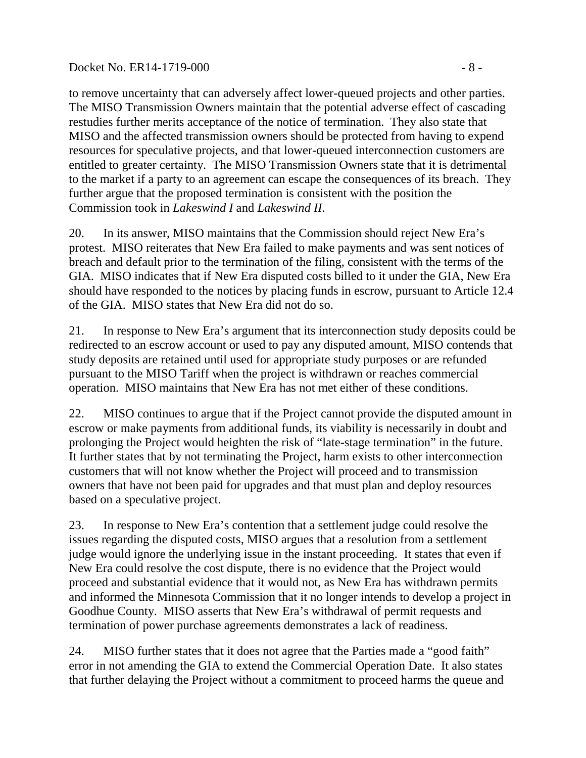### Docket No. ER14-1719-000 - 8 -

to remove uncertainty that can adversely affect lower-queued projects and other parties. The MISO Transmission Owners maintain that the potential adverse effect of cascading restudies further merits acceptance of the notice of termination. They also state that MISO and the affected transmission owners should be protected from having to expend resources for speculative projects, and that lower-queued interconnection customers are entitled to greater certainty. The MISO Transmission Owners state that it is detrimental to the market if a party to an agreement can escape the consequences of its breach. They further argue that the proposed termination is consistent with the position the Commission took in *Lakeswind I* and *Lakeswind II*.

20. In its answer, MISO maintains that the Commission should reject New Era's protest. MISO reiterates that New Era failed to make payments and was sent notices of breach and default prior to the termination of the filing, consistent with the terms of the GIA. MISO indicates that if New Era disputed costs billed to it under the GIA, New Era should have responded to the notices by placing funds in escrow, pursuant to Article 12.4 of the GIA. MISO states that New Era did not do so.

21. In response to New Era's argument that its interconnection study deposits could be redirected to an escrow account or used to pay any disputed amount, MISO contends that study deposits are retained until used for appropriate study purposes or are refunded pursuant to the MISO Tariff when the project is withdrawn or reaches commercial operation. MISO maintains that New Era has not met either of these conditions.

22. MISO continues to argue that if the Project cannot provide the disputed amount in escrow or make payments from additional funds, its viability is necessarily in doubt and prolonging the Project would heighten the risk of "late-stage termination" in the future. It further states that by not terminating the Project, harm exists to other interconnection customers that will not know whether the Project will proceed and to transmission owners that have not been paid for upgrades and that must plan and deploy resources based on a speculative project.

23. In response to New Era's contention that a settlement judge could resolve the issues regarding the disputed costs, MISO argues that a resolution from a settlement judge would ignore the underlying issue in the instant proceeding. It states that even if New Era could resolve the cost dispute, there is no evidence that the Project would proceed and substantial evidence that it would not, as New Era has withdrawn permits and informed the Minnesota Commission that it no longer intends to develop a project in Goodhue County. MISO asserts that New Era's withdrawal of permit requests and termination of power purchase agreements demonstrates a lack of readiness.

24. MISO further states that it does not agree that the Parties made a "good faith" error in not amending the GIA to extend the Commercial Operation Date. It also states that further delaying the Project without a commitment to proceed harms the queue and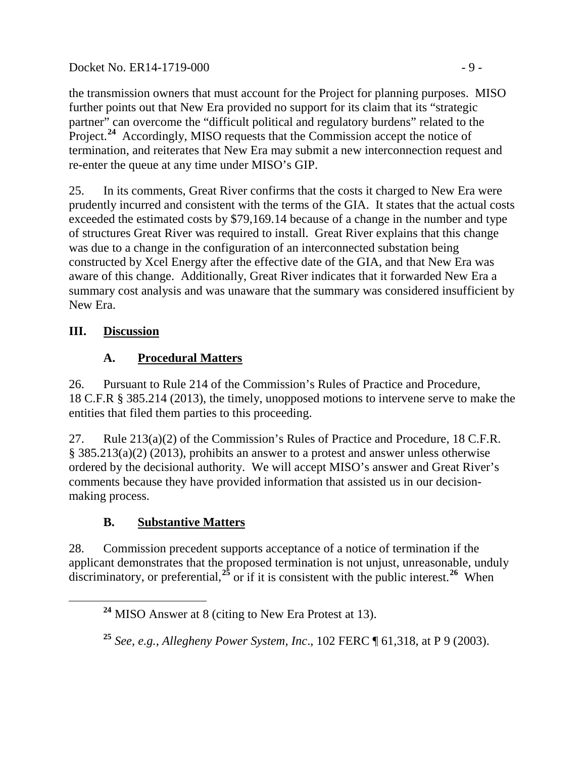Docket No. ER14-1719-000 - 9 -

the transmission owners that must account for the Project for planning purposes. MISO further points out that New Era provided no support for its claim that its "strategic partner" can overcome the "difficult political and regulatory burdens" related to the Project.<sup>[24](#page-8-0)</sup> Accordingly, MISO requests that the Commission accept the notice of termination, and reiterates that New Era may submit a new interconnection request and re-enter the queue at any time under MISO's GIP.

25. In its comments, Great River confirms that the costs it charged to New Era were prudently incurred and consistent with the terms of the GIA. It states that the actual costs exceeded the estimated costs by \$79,169.14 because of a change in the number and type of structures Great River was required to install. Great River explains that this change was due to a change in the configuration of an interconnected substation being constructed by Xcel Energy after the effective date of the GIA, and that New Era was aware of this change. Additionally, Great River indicates that it forwarded New Era a summary cost analysis and was unaware that the summary was considered insufficient by New Era.

## **III. Discussion**

# **A. Procedural Matters**

<span id="page-8-2"></span>26. Pursuant to Rule 214 of the Commission's Rules of Practice and Procedure, 18 C.F.R § 385.214 (2013), the timely, unopposed motions to intervene serve to make the entities that filed them parties to this proceeding.

27. Rule 213(a)(2) of the Commission's Rules of Practice and Procedure, 18 C.F.R. § 385.213(a)(2) (2013), prohibits an answer to a protest and answer unless otherwise ordered by the decisional authority. We will accept MISO's answer and Great River's comments because they have provided information that assisted us in our decisionmaking process.

## **B. Substantive Matters**

<span id="page-8-0"></span>28. Commission precedent supports acceptance of a notice of termination if the applicant demonstrates that the proposed termination is not unjust, unreasonable, unduly discriminatory, or preferential,<sup>[25](#page-8-1)</sup> or if it is consistent with the public interest.<sup>[26](#page-8-2)</sup> When

**<sup>24</sup>** MISO Answer at 8 (citing to New Era Protest at 13).

<span id="page-8-1"></span>**<sup>25</sup>** *See, e.g.*, *Allegheny Power System, Inc*., 102 FERC ¶ 61,318, at P 9 (2003).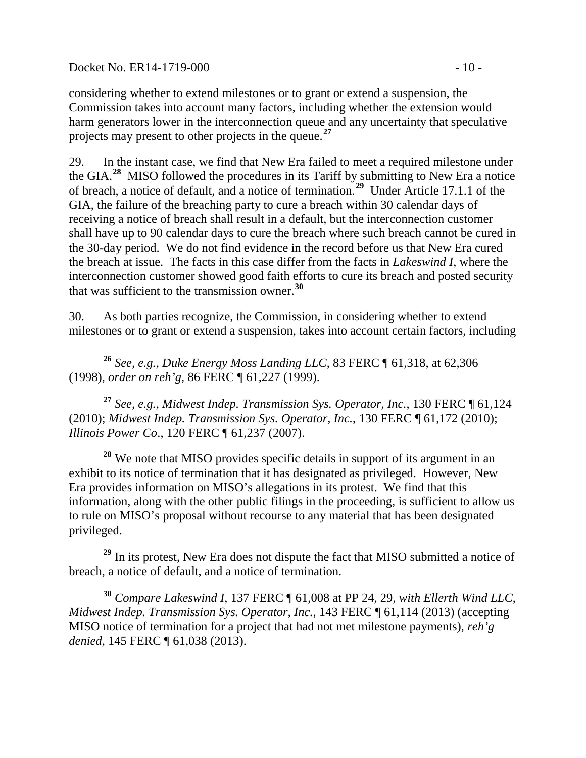Docket No. ER14-1719-000 - 10 -

considering whether to extend milestones or to grant or extend a suspension, the Commission takes into account many factors, including whether the extension would harm generators lower in the interconnection queue and any uncertainty that speculative projects may present to other projects in the queue.**[27](#page-9-0)**

29. In the instant case, we find that New Era failed to meet a required milestone under the GIA.**[28](#page-9-1)** MISO followed the procedures in its Tariff by submitting to New Era a notice of breach, a notice of default, and a notice of termination.**[29](#page-9-2)** Under Article 17.1.1 of the GIA, the failure of the breaching party to cure a breach within 30 calendar days of receiving a notice of breach shall result in a default, but the interconnection customer shall have up to 90 calendar days to cure the breach where such breach cannot be cured in the 30-day period. We do not find evidence in the record before us that New Era cured the breach at issue. The facts in this case differ from the facts in *Lakeswind I*, where the interconnection customer showed good faith efforts to cure its breach and posted security that was sufficient to the transmission owner.**[30](#page-9-3)**

30. As both parties recognize, the Commission, in considering whether to extend milestones or to grant or extend a suspension, takes into account certain factors, including

 **<sup>26</sup>** *See, e.g.*, *Duke Energy Moss Landing LLC*, 83 FERC ¶ 61,318, at 62,306 (1998), *order on reh'g*, 86 FERC ¶ 61,227 (1999).

<span id="page-9-0"></span>**<sup>27</sup>** *See, e.g.*, *Midwest Indep. Transmission Sys. Operator, Inc.*, 130 FERC ¶ 61,124 (2010); *Midwest Indep. Transmission Sys. Operator, Inc.*, 130 FERC ¶ 61,172 (2010); *Illinois Power Co*., 120 FERC ¶ 61,237 (2007).

<span id="page-9-1"></span>**<sup>28</sup>** We note that MISO provides specific details in support of its argument in an exhibit to its notice of termination that it has designated as privileged. However, New Era provides information on MISO's allegations in its protest. We find that this information, along with the other public filings in the proceeding, is sufficient to allow us to rule on MISO's proposal without recourse to any material that has been designated privileged.

<span id="page-9-2"></span><sup>29</sup> In its protest, New Era does not dispute the fact that MISO submitted a notice of breach, a notice of default, and a notice of termination.

<span id="page-9-3"></span>**<sup>30</sup>** *Compare Lakeswind I*, 137 FERC ¶ 61,008 at PP 24, 29, *with Ellerth Wind LLC*, *Midwest Indep. Transmission Sys. Operator, Inc.*, 143 FERC ¶ 61,114 (2013) (accepting MISO notice of termination for a project that had not met milestone payments), *reh'g denied*, 145 FERC ¶ 61,038 (2013).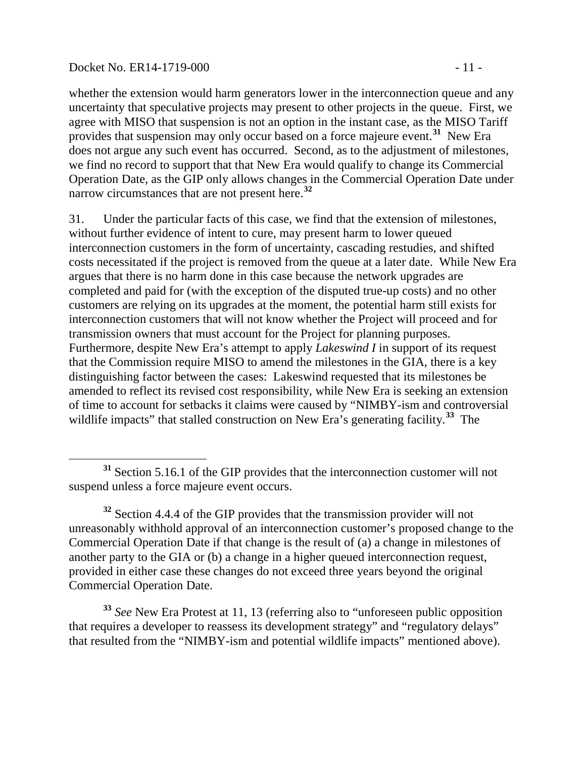#### Docket No. ER14-1719-000 - 11 -

whether the extension would harm generators lower in the interconnection queue and any uncertainty that speculative projects may present to other projects in the queue. First, we agree with MISO that suspension is not an option in the instant case, as the MISO Tariff provides that suspension may only occur based on a force majeure event.**[31](#page-10-0)** New Era does not argue any such event has occurred. Second, as to the adjustment of milestones, we find no record to support that that New Era would qualify to change its Commercial Operation Date, as the GIP only allows changes in the Commercial Operation Date under narrow circumstances that are not present here.**[32](#page-10-1)**

31. Under the particular facts of this case, we find that the extension of milestones, without further evidence of intent to cure, may present harm to lower queued interconnection customers in the form of uncertainty, cascading restudies, and shifted costs necessitated if the project is removed from the queue at a later date. While New Era argues that there is no harm done in this case because the network upgrades are completed and paid for (with the exception of the disputed true-up costs) and no other customers are relying on its upgrades at the moment, the potential harm still exists for interconnection customers that will not know whether the Project will proceed and for transmission owners that must account for the Project for planning purposes. Furthermore, despite New Era's attempt to apply *Lakeswind I* in support of its request that the Commission require MISO to amend the milestones in the GIA, there is a key distinguishing factor between the cases: Lakeswind requested that its milestones be amended to reflect its revised cost responsibility, while New Era is seeking an extension of time to account for setbacks it claims were caused by "NIMBY-ism and controversial wildlife impacts" that stalled construction on New Era's generating facility.<sup>[33](#page-10-2)</sup> The

<span id="page-10-2"></span>**<sup>33</sup>** *See* New Era Protest at 11, 13 (referring also to "unforeseen public opposition that requires a developer to reassess its development strategy" and "regulatory delays" that resulted from the "NIMBY-ism and potential wildlife impacts" mentioned above).

<span id="page-10-0"></span>**<sup>31</sup>** Section 5.16.1 of the GIP provides that the interconnection customer will not suspend unless a force majeure event occurs.

<span id="page-10-1"></span>**<sup>32</sup>** Section 4.4.4 of the GIP provides that the transmission provider will not unreasonably withhold approval of an interconnection customer's proposed change to the Commercial Operation Date if that change is the result of (a) a change in milestones of another party to the GIA or (b) a change in a higher queued interconnection request, provided in either case these changes do not exceed three years beyond the original Commercial Operation Date.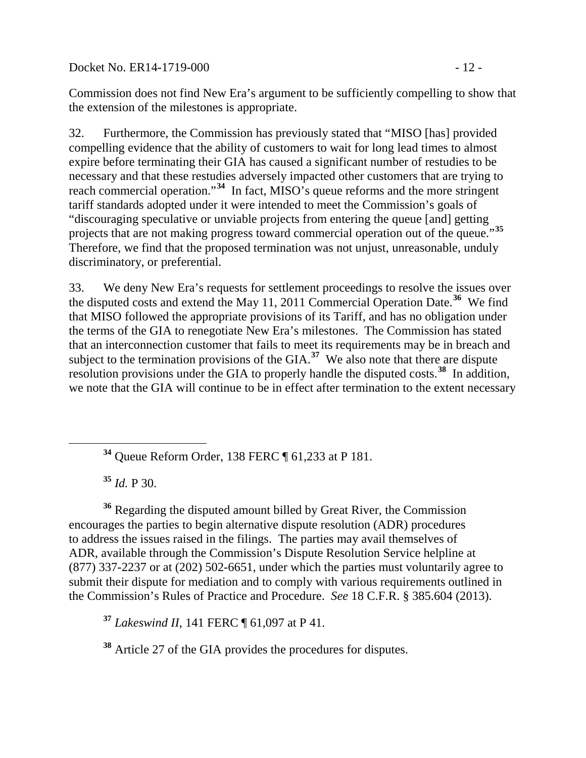Docket No. ER14-1719-000 - 12 -

Commission does not find New Era's argument to be sufficiently compelling to show that the extension of the milestones is appropriate.

32. Furthermore, the Commission has previously stated that "MISO [has] provided compelling evidence that the ability of customers to wait for long lead times to almost expire before terminating their GIA has caused a significant number of restudies to be necessary and that these restudies adversely impacted other customers that are trying to reach commercial operation."**[34](#page-11-0)** In fact, MISO's queue reforms and the more stringent tariff standards adopted under it were intended to meet the Commission's goals of "discouraging speculative or unviable projects from entering the queue [and] getting projects that are not making progress toward commercial operation out of the queue."**[35](#page-11-1)** Therefore, we find that the proposed termination was not unjust, unreasonable, unduly discriminatory, or preferential.

33. We deny New Era's requests for settlement proceedings to resolve the issues over the disputed costs and extend the May 11, 2011 Commercial Operation Date. **[36](#page-11-2)** We find that MISO followed the appropriate provisions of its Tariff, and has no obligation under the terms of the GIA to renegotiate New Era's milestones. The Commission has stated that an interconnection customer that fails to meet its requirements may be in breach and subject to the termination provisions of the GIA.<sup>[37](#page-11-3)</sup> We also note that there are dispute resolution provisions under the GIA to properly handle the disputed costs.**[38](#page-11-4)** In addition, we note that the GIA will continue to be in effect after termination to the extent necessary

**<sup>34</sup>** Queue Reform Order, 138 FERC ¶ 61,233 at P 181.

**<sup>35</sup>** *Id.* P 30.

<span id="page-11-2"></span><span id="page-11-1"></span><span id="page-11-0"></span>**<sup>36</sup>** Regarding the disputed amount billed by Great River, the Commission encourages the parties to begin alternative dispute resolution (ADR) procedures to address the issues raised in the filings. The parties may avail themselves of ADR, available through the Commission's Dispute Resolution Service helpline at (877) 337-2237 or at (202) 502-6651, under which the parties must voluntarily agree to submit their dispute for mediation and to comply with various requirements outlined in the Commission's Rules of Practice and Procedure. *See* 18 C.F.R. § 385.604 (2013).

<span id="page-11-3"></span>**<sup>37</sup>** *Lakeswind II*, 141 FERC ¶ 61,097 at P 41.

<span id="page-11-4"></span>**<sup>38</sup>** Article 27 of the GIA provides the procedures for disputes.